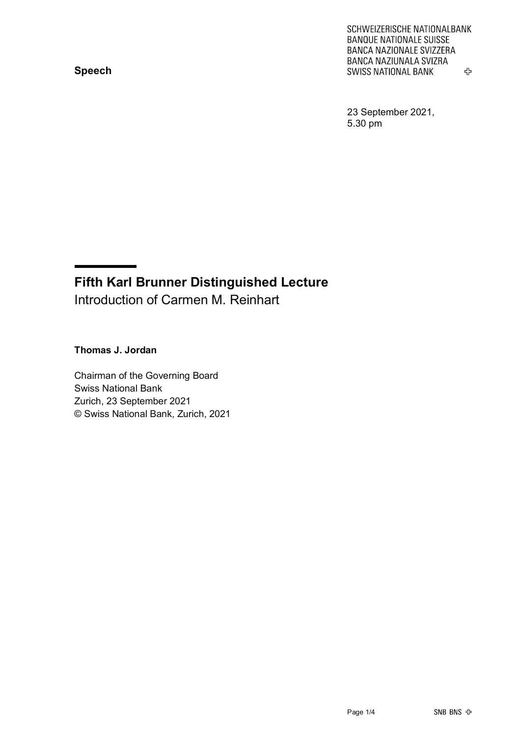## **Speech**

SCHWEIZERISCHE NATIONALBANK **BANQUE NATIONALE SUISSE** BANCA NAZIONALE SVIZZERA **BANCA NAZIUNALA SVIZRA SWISS NATIONAL BANK** 亞

23 September 2021, 5.30 pm

## **Fifth Karl Brunner Distinguished Lecture** Introduction of Carmen M. Reinhart

**Thomas J. Jordan**

Chairman of the Governing Board Swiss National Bank Zurich, 23 September 2021 © Swiss National Bank, Zurich, 2021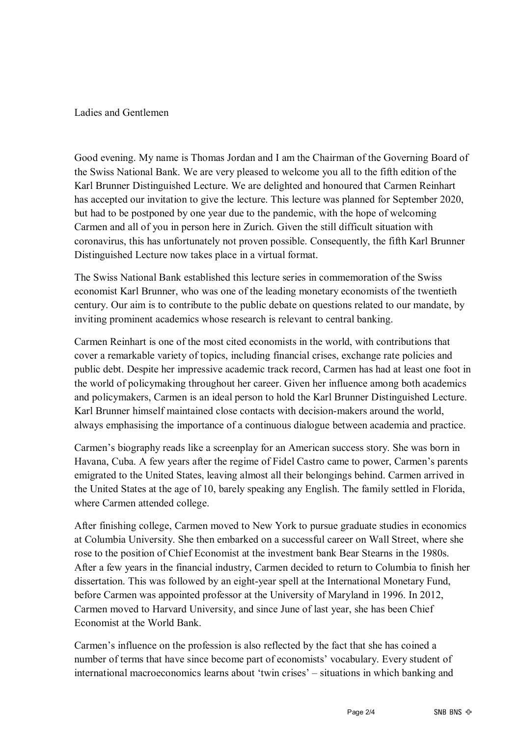Ladies and Gentlemen

Good evening. My name is Thomas Jordan and I am the Chairman of the Governing Board of the Swiss National Bank. We are very pleased to welcome you all to the fifth edition of the Karl Brunner Distinguished Lecture. We are delighted and honoured that Carmen Reinhart has accepted our invitation to give the lecture. This lecture was planned for September 2020, but had to be postponed by one year due to the pandemic, with the hope of welcoming Carmen and all of you in person here in Zurich. Given the still difficult situation with coronavirus, this has unfortunately not proven possible. Consequently, the fifth Karl Brunner Distinguished Lecture now takes place in a virtual format.

The Swiss National Bank established this lecture series in commemoration of the Swiss economist Karl Brunner, who was one of the leading monetary economists of the twentieth century. Our aim is to contribute to the public debate on questions related to our mandate, by inviting prominent academics whose research is relevant to central banking.

Carmen Reinhart is one of the most cited economists in the world, with contributions that cover a remarkable variety of topics, including financial crises, exchange rate policies and public debt. Despite her impressive academic track record, Carmen has had at least one foot in the world of policymaking throughout her career. Given her influence among both academics and policymakers, Carmen is an ideal person to hold the Karl Brunner Distinguished Lecture. Karl Brunner himself maintained close contacts with decision-makers around the world, always emphasising the importance of a continuous dialogue between academia and practice.

Carmen's biography reads like a screenplay for an American success story. She was born in Havana, Cuba. A few years after the regime of Fidel Castro came to power, Carmen's parents emigrated to the United States, leaving almost all their belongings behind. Carmen arrived in the United States at the age of 10, barely speaking any English. The family settled in Florida, where Carmen attended college.

After finishing college, Carmen moved to New York to pursue graduate studies in economics at Columbia University. She then embarked on a successful career on Wall Street, where she rose to the position of Chief Economist at the investment bank Bear Stearns in the 1980s. After a few years in the financial industry, Carmen decided to return to Columbia to finish her dissertation. This was followed by an eight-year spell at the International Monetary Fund, before Carmen was appointed professor at the University of Maryland in 1996. In 2012, Carmen moved to Harvard University, and since June of last year, she has been Chief Economist at the World Bank.

Carmen's influence on the profession is also reflected by the fact that she has coined a number of terms that have since become part of economists' vocabulary. Every student of international macroeconomics learns about 'twin crises' – situations in which banking and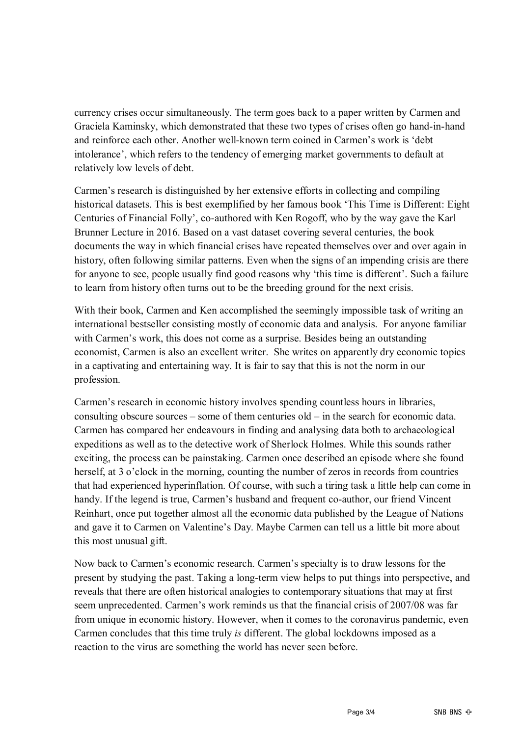currency crises occur simultaneously. The term goes back to a paper written by Carmen and Graciela Kaminsky, which demonstrated that these two types of crises often go hand-in-hand and reinforce each other. Another well-known term coined in Carmen's work is 'debt intolerance', which refers to the tendency of emerging market governments to default at relatively low levels of debt.

Carmen's research is distinguished by her extensive efforts in collecting and compiling historical datasets. This is best exemplified by her famous book 'This Time is Different: Eight Centuries of Financial Folly', co-authored with Ken Rogoff, who by the way gave the Karl Brunner Lecture in 2016. Based on a vast dataset covering several centuries, the book documents the way in which financial crises have repeated themselves over and over again in history, often following similar patterns. Even when the signs of an impending crisis are there for anyone to see, people usually find good reasons why 'this time is different'. Such a failure to learn from history often turns out to be the breeding ground for the next crisis.

With their book, Carmen and Ken accomplished the seemingly impossible task of writing an international bestseller consisting mostly of economic data and analysis. For anyone familiar with Carmen's work, this does not come as a surprise. Besides being an outstanding economist, Carmen is also an excellent writer. She writes on apparently dry economic topics in a captivating and entertaining way. It is fair to say that this is not the norm in our profession.

Carmen's research in economic history involves spending countless hours in libraries, consulting obscure sources – some of them centuries old – in the search for economic data. Carmen has compared her endeavours in finding and analysing data both to archaeological expeditions as well as to the detective work of Sherlock Holmes. While this sounds rather exciting, the process can be painstaking. Carmen once described an episode where she found herself, at 3 o'clock in the morning, counting the number of zeros in records from countries that had experienced hyperinflation. Of course, with such a tiring task a little help can come in handy. If the legend is true, Carmen's husband and frequent co-author, our friend Vincent Reinhart, once put together almost all the economic data published by the League of Nations and gave it to Carmen on Valentine's Day. Maybe Carmen can tell us a little bit more about this most unusual gift.

Now back to Carmen's economic research. Carmen's specialty is to draw lessons for the present by studying the past. Taking a long-term view helps to put things into perspective, and reveals that there are often historical analogies to contemporary situations that may at first seem unprecedented. Carmen's work reminds us that the financial crisis of 2007/08 was far from unique in economic history. However, when it comes to the coronavirus pandemic, even Carmen concludes that this time truly *is* different. The global lockdowns imposed as a reaction to the virus are something the world has never seen before.